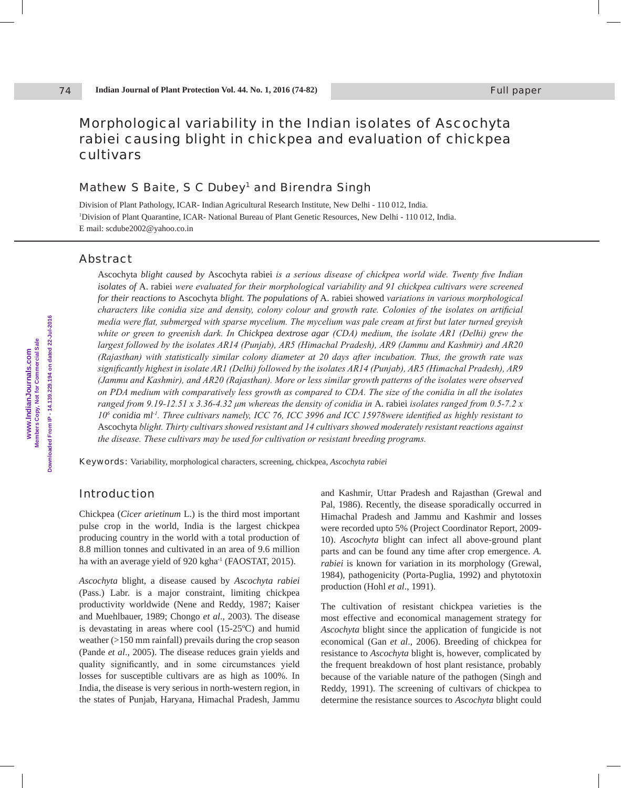# Morphological variability in the Indian isolates of *Ascochyta rabiei* causing blight in chickpea and evaluation of chickpea cultivars

# Mathew S Baite, S C Dubey<sup>1</sup> and Birendra Singh

Division of Plant Pathology, ICAR- Indian Agricultural Research Institute, New Delhi - 110 012, India. 1 Division of Plant Quarantine, ICAR- National Bureau of Plant Genetic Resources, New Delhi - 110 012, India. E mail: scdube2002@yahoo.co.in

## Abstract

74

Ascochyta *blight caused by* Ascochyta rabiei *is a serious disease of chickpea world wide. Twenty five Indian isolates of* A. rabiei *were evaluated for their morphological variability and 91 chickpea cultivars were screened for their reactions to* Ascochyta *blight. The populations of* A. rabiei showed *variations in various morphological characters like conidia size and density, colony colour and growth rate. Colonies of the isolates on artificial media were flat, submerged with sparse mycelium. The mycelium was pale cream at first but later turned greyish white or green to greenish dark. In Chickpea dextrose agar (CDA) medium, the isolate AR1 (Delhi) grew the largest followed by the isolates AR14 (Punjab), AR5 (Himachal Pradesh), AR9 (Jammu and Kashmir) and AR20 (Rajasthan) with statistically similar colony diameter at 20 days after incubation. Thus, the growth rate was significantly highest in isolate AR1 (Delhi) followed by the isolates AR14 (Punjab), AR5 (Himachal Pradesh), AR9 (Jammu and Kashmir), and AR20 (Rajasthan). More or less similar growth patterns of the isolates were observed on PDA medium with comparatively less growth as compared to CDA. The size of the conidia in all the isolates ranged from 9.19-12.51 x 3.36-4.32 μm whereas the density of conidia in* A. rabiei *isolates ranged from 0.5-7.2 x 106 conidia ml-1. Three cultivars namely, ICC 76, ICC 3996 and ICC 15978were identified as highly resistant to*  Ascochyta *blight. Thirty cultivars showed resistant and 14 cultivars showed moderately resistant reactions against the disease. These cultivars may be used for cultivation or resistant breeding programs.*

Keywords: Variability, morphological characters, screening, chickpea, *Ascochyta rabiei*

# Introduction

Chickpea (*Cicer arietinum* L.) is the third most important pulse crop in the world, India is the largest chickpea producing country in the world with a total production of 8.8 million tonnes and cultivated in an area of 9.6 million ha with an average yield of 920 kgha<sup>1</sup> (FAOSTAT, 2015).

*Ascochyta* blight, a disease caused by *Ascochyta rabiei* (Pass.) Labr. is a major constraint, limiting chickpea productivity worldwide (Nene and Reddy, 1987; Kaiser and Muehlbauer, 1989; Chongo *et al*., 2003). The disease is devastating in areas where cool (15-25ºC) and humid weather (>150 mm rainfall) prevails during the crop season (Pande *et al*., 2005). The disease reduces grain yields and quality significantly, and in some circumstances yield losses for susceptible cultivars are as high as 100%. In India, the disease is very serious in north-western region, in the states of Punjab, Haryana, Himachal Pradesh, Jammu

and Kashmir, Uttar Pradesh and Rajasthan (Grewal and Pal, 1986). Recently, the disease sporadically occurred in Himachal Pradesh and Jammu and Kashmir and losses were recorded upto 5% (Project Coordinator Report, 2009- 10). *Ascochyta* blight can infect all above-ground plant parts and can be found any time after crop emergence. *A. rabiei* is known for variation in its morphology (Grewal, 1984), pathogenicity (Porta-Puglia, 1992) and phytotoxin production (Hohl *et al*., 1991).

The cultivation of resistant chickpea varieties is the most effective and economical management strategy for *Ascochyta* blight since the application of fungicide is not economical (Gan *et al*., 2006). Breeding of chickpea for resistance to *Ascochyta* blight is, however, complicated by the frequent breakdown of host plant resistance, probably because of the variable nature of the pathogen (Singh and Reddy, 1991). The screening of cultivars of chickpea to determine the resistance sources to *Ascochyta* blight could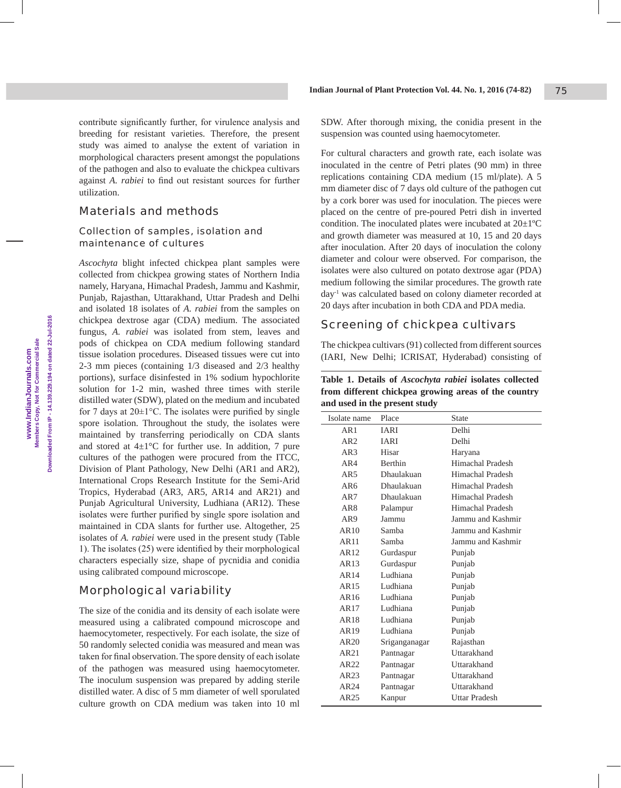contribute significantly further, for virulence analysis and breeding for resistant varieties. Therefore, the present study was aimed to analyse the extent of variation in morphological characters present amongst the populations of the pathogen and also to evaluate the chickpea cultivars against *A. rabiei* to find out resistant sources for further utilization.

## Materials and methods

## Collection of samples, isolation and maintenance of cultures

*Ascochyta* blight infected chickpea plant samples were collected from chickpea growing states of Northern India namely, Haryana, Himachal Pradesh, Jammu and Kashmir, Punjab, Rajasthan, Uttarakhand, Uttar Pradesh and Delhi and isolated 18 isolates of *A. rabiei* from the samples on chickpea dextrose agar (CDA) medium. The associated fungus, *A. rabiei* was isolated from stem, leaves and pods of chickpea on CDA medium following standard tissue isolation procedures. Diseased tissues were cut into 2-3 mm pieces (containing 1/3 diseased and 2/3 healthy portions), surface disinfested in 1% sodium hypochlorite solution for 1-2 min, washed three times with sterile distilled water (SDW), plated on the medium and incubated for 7 days at  $20 \pm 1^{\circ}$ C. The isolates were purified by single spore isolation. Throughout the study, the isolates were maintained by transferring periodically on CDA slants and stored at  $4\pm1^{\circ}$ C for further use. In addition, 7 pure cultures of the pathogen were procured from the ITCC, Division of Plant Pathology, New Delhi (AR1 and AR2), International Crops Research Institute for the Semi-Arid Tropics, Hyderabad (AR3, AR5, AR14 and AR21) and Punjab Agricultural University, Ludhiana (AR12). These isolates were further purified by single spore isolation and maintained in CDA slants for further use. Altogether, 25 isolates of *A. rabiei* were used in the present study (Table 1). The isolates (25) were identified by their morphological characters especially size, shape of pycnidia and conidia using calibrated compound microscope.

# Morphological variability

The size of the conidia and its density of each isolate were measured using a calibrated compound microscope and haemocytometer, respectively. For each isolate, the size of 50 randomly selected conidia was measured and mean was taken for final observation. The spore density of each isolate of the pathogen was measured using haemocytometer. The inoculum suspension was prepared by adding sterile distilled water. A disc of 5 mm diameter of well sporulated culture growth on CDA medium was taken into 10 ml

SDW. After thorough mixing, the conidia present in the suspension was counted using haemocytometer.

For cultural characters and growth rate, each isolate was inoculated in the centre of Petri plates (90 mm) in three replications containing CDA medium (15 ml/plate). A 5 mm diameter disc of 7 days old culture of the pathogen cut by a cork borer was used for inoculation. The pieces were placed on the centre of pre-poured Petri dish in inverted condition. The inoculated plates were incubated at 20±1ºC and growth diameter was measured at 10, 15 and 20 days after inoculation. After 20 days of inoculation the colony diameter and colour were observed. For comparison, the isolates were also cultured on potato dextrose agar (PDA) medium following the similar procedures. The growth rate day-1 was calculated based on colony diameter recorded at 20 days after incubation in both CDA and PDA media.

# Screening of chickpea cultivars

The chickpea cultivars (91) collected from different sources (IARI, New Delhi; ICRISAT, Hyderabad) consisting of

| Table 1. Details of <i>Ascochyta rabiei</i> isolates collected |
|----------------------------------------------------------------|
| from different chickpea growing areas of the country           |
| and used in the present study                                  |

| Isolate name    | Place          | <b>State</b>         |
|-----------------|----------------|----------------------|
| AR1             | <b>IARI</b>    | Delhi                |
| AR2             | <b>IARI</b>    | Delhi                |
| AR3             | Hisar          | Haryana              |
| AR4             | <b>Berthin</b> | Himachal Pradesh     |
| AR5             | Dhaulakuan     | Himachal Pradesh     |
| AR6             | Dhaulakuan     | Himachal Pradesh     |
| AR7             | Dhaulakuan     | Himachal Pradesh     |
| AR <sub>8</sub> | Palampur       | Himachal Pradesh     |
| AR9             | Jammu          | Jammu and Kashmir    |
| AR10            | Samba          | Jammu and Kashmir    |
| AR11            | Samba          | Jammu and Kashmir    |
| AR12.           | Gurdaspur      | Punjab               |
| AR13            | Gurdaspur      | Punjab               |
| AR14            | Ludhiana       | Punjab               |
| AR15            | Ludhiana       | Punjab               |
| AR16            | Ludhiana       | Punjab               |
| AR17            | Ludhiana       | Punjab               |
| AR18            | Ludhiana       | Punjab               |
| AR19            | Ludhiana       | Punjab               |
| AR20            | Sriganganagar  | Rajasthan            |
| AR21            | Pantnagar      | <b>Uttarakhand</b>   |
| AR22            | Pantnagar      | Uttarakhand          |
| AR23            | Pantnagar      | Uttarakhand          |
| AR24            | Pantnagar      | Uttarakhand          |
| AR25            | Kanpur         | <b>Uttar Pradesh</b> |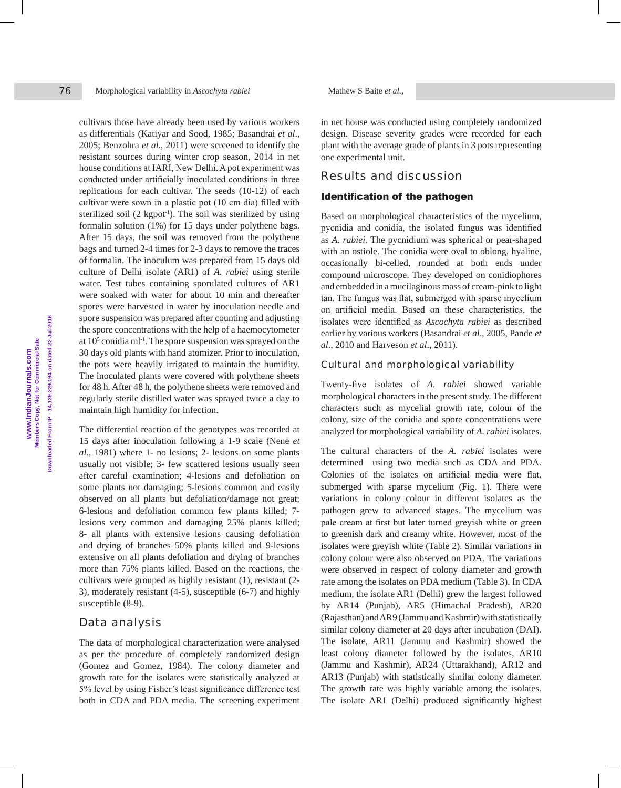Morphological variability in *Ascochyta rabiei* Mathew S Baite *et al.*,

cultivars those have already been used by various workers as differentials (Katiyar and Sood, 1985; Basandrai *et al*., 2005; Benzohra *et al*., 2011) were screened to identify the resistant sources during winter crop season, 2014 in net house conditions at IARI, New Delhi. A pot experiment was conducted under artificially inoculated conditions in three replications for each cultivar. The seeds (10-12) of each cultivar were sown in a plastic pot (10 cm dia) filled with sterilized soil (2 kgpot<sup>1</sup>). The soil was sterilized by using formalin solution (1%) for 15 days under polythene bags. After 15 days, the soil was removed from the polythene bags and turned 2-4 times for 2-3 days to remove the traces of formalin. The inoculum was prepared from 15 days old culture of Delhi isolate (AR1) of *A. rabiei* using sterile water. Test tubes containing sporulated cultures of AR1 were soaked with water for about 10 min and thereafter spores were harvested in water by inoculation needle and spore suspension was prepared after counting and adjusting the spore concentrations with the help of a haemocytometer at  $10<sup>5</sup>$  conidia ml<sup>-1</sup>. The spore suspension was sprayed on the 30 days old plants with hand atomizer. Prior to inoculation, the pots were heavily irrigated to maintain the humidity. The inoculated plants were covered with polythene sheets for 48 h. After 48 h, the polythene sheets were removed and regularly sterile distilled water was sprayed twice a day to maintain high humidity for infection.

The differential reaction of the genotypes was recorded at 15 days after inoculation following a 1-9 scale (Nene *et al*., 1981) where 1- no lesions; 2- lesions on some plants usually not visible; 3- few scattered lesions usually seen after careful examination; 4-lesions and defoliation on some plants not damaging; 5-lesions common and easily observed on all plants but defoliation/damage not great; 6-lesions and defoliation common few plants killed; 7 lesions very common and damaging 25% plants killed; 8- all plants with extensive lesions causing defoliation and drying of branches 50% plants killed and 9-lesions extensive on all plants defoliation and drying of branches more than 75% plants killed. Based on the reactions, the cultivars were grouped as highly resistant (1), resistant (2- 3), moderately resistant (4-5), susceptible (6-7) and highly susceptible  $(8-9)$ .

# Data analysis

The data of morphological characterization were analysed as per the procedure of completely randomized design (Gomez and Gomez, 1984). The colony diameter and growth rate for the isolates were statistically analyzed at 5% level by using Fisher's least significance difference test both in CDA and PDA media. The screening experiment

in net house was conducted using completely randomized design. Disease severity grades were recorded for each plant with the average grade of plants in 3 pots representing one experimental unit.

## Results and discussion

### Identification of the pathogen

Based on morphological characteristics of the mycelium, pycnidia and conidia, the isolated fungus was identified as *A. rabiei*. The pycnidium was spherical or pear-shaped with an ostiole. The conidia were oval to oblong, hyaline, occasionally bi-celled, rounded at both ends under compound microscope. They developed on conidiophores and embedded in a mucilaginous mass of cream-pink to light tan. The fungus was flat, submerged with sparse mycelium on artificial media. Based on these characteristics, the isolates were identified as *Ascochyta rabiei* as described earlier by various workers (Basandrai *et al*., 2005, Pande *et al*., 2010 and Harveson *et al*., 2011).

## Cultural and morphological variability

Twenty-five isolates of *A. rabiei* showed variable morphological characters in the present study. The different characters such as mycelial growth rate, colour of the colony, size of the conidia and spore concentrations were analyzed for morphological variability of *A. rabiei* isolates.

The cultural characters of the *A. rabiei* isolates were determined using two media such as CDA and PDA. Colonies of the isolates on artificial media were flat, submerged with sparse mycelium (Fig. 1). There were variations in colony colour in different isolates as the pathogen grew to advanced stages. The mycelium was pale cream at first but later turned greyish white or green to greenish dark and creamy white. However, most of the isolates were greyish white (Table 2). Similar variations in colony colour were also observed on PDA. The variations were observed in respect of colony diameter and growth rate among the isolates on PDA medium (Table 3). In CDA medium, the isolate AR1 (Delhi) grew the largest followed by AR14 (Punjab), AR5 (Himachal Pradesh), AR20 (Rajasthan) and AR9 (Jammu and Kashmir) with statistically similar colony diameter at 20 days after incubation (DAI). The isolate, AR11 (Jammu and Kashmir) showed the least colony diameter followed by the isolates, AR10 (Jammu and Kashmir), AR24 (Uttarakhand), AR12 and AR13 (Punjab) with statistically similar colony diameter. The growth rate was highly variable among the isolates. The isolate AR1 (Delhi) produced significantly highest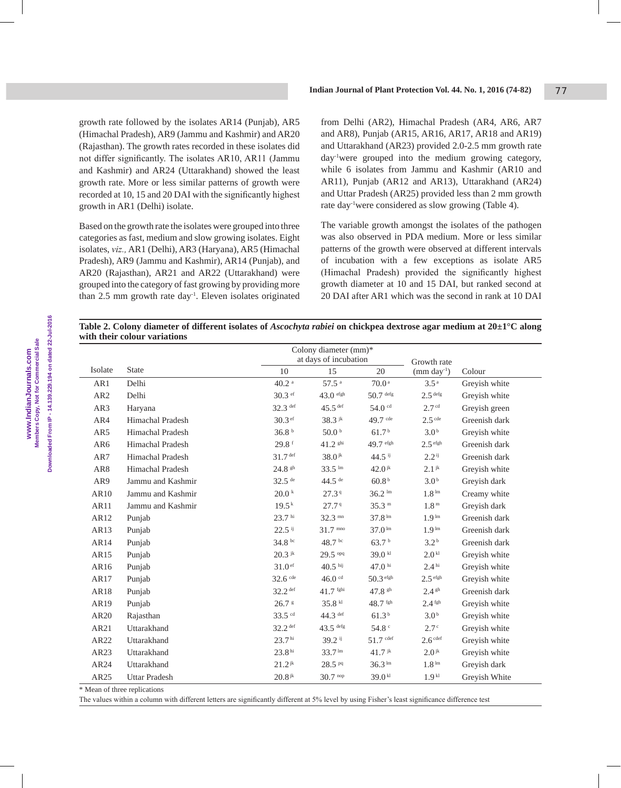growth rate followed by the isolates AR14 (Punjab), AR5 (Himachal Pradesh), AR9 (Jammu and Kashmir) and AR20 (Rajasthan). The growth rates recorded in these isolates did not differ significantly. The isolates AR10, AR11 (Jammu and Kashmir) and AR24 (Uttarakhand) showed the least growth rate. More or less similar patterns of growth were recorded at 10, 15 and 20 DAI with the significantly highest growth in AR1 (Delhi) isolate.

Based on the growth rate the isolates were grouped into three categories as fast, medium and slow growing isolates. Eight isolates, *viz.,* AR1 (Delhi), AR3 (Haryana), AR5 (Himachal Pradesh), AR9 (Jammu and Kashmir), AR14 (Punjab), and AR20 (Rajasthan), AR21 and AR22 (Uttarakhand) were grouped into the category of fast growing by providing more than 2.5 mm growth rate day<sup>-1</sup>. Eleven isolates originated from Delhi (AR2), Himachal Pradesh (AR4, AR6, AR7 and AR8), Punjab (AR15, AR16, AR17, AR18 and AR19) and Uttarakhand (AR23) provided 2.0-2.5 mm growth rate day-1were grouped into the medium growing category, while 6 isolates from Jammu and Kashmir (AR10 and AR11), Punjab (AR12 and AR13), Uttarakhand (AR24) and Uttar Pradesh (AR25) provided less than 2 mm growth rate day-1were considered as slow growing (Table 4).

The variable growth amongst the isolates of the pathogen was also observed in PDA medium. More or less similar patterns of the growth were observed at different intervals of incubation with a few exceptions as isolate AR5 (Himachal Pradesh) provided the significantly highest growth diameter at 10 and 15 DAI, but ranked second at 20 DAI after AR1 which was the second in rank at 10 DAI

| Table 2. Colony diameter of different isolates of <i>Ascochyta rabiei</i> on chickpea dextrose agar medium at $20\pm1^\circ C$ along |  |  |  |  |  |
|--------------------------------------------------------------------------------------------------------------------------------------|--|--|--|--|--|
| with their colour variations                                                                                                         |  |  |  |  |  |

|                  |                              | Colony diameter (mm)* |                             |                             |                     |               |
|------------------|------------------------------|-----------------------|-----------------------------|-----------------------------|---------------------|---------------|
|                  |                              | at days of incubation |                             |                             | Growth rate         |               |
| Isolate          | <b>State</b>                 | $10\,$                | 15                          | 20                          | $(mm day-1)$        | Colour        |
| AR1              | Delhi                        | $40.2$ <sup>a</sup>   | $57.5$ <sup>a</sup>         | 70.0 <sup>a</sup>           | 3.5 <sup>a</sup>    | Greyish white |
| AR <sub>2</sub>  | Delhi                        | 30.3 ef               | $43.0$ efgh                 | $50.7$ defg                 | $2.5$ defg          | Greyish white |
| AR3              | Haryana                      | 32.3 def              | $45.5$ <sup>def</sup>       | $54.0$ $cd$                 | 2.7 <sup>cd</sup>   | Greyish green |
| AR4              | <b>Himachal Pradesh</b>      | $30.3$ ef             | $38.3$ jk                   | $49.7$ cde                  | $2.5$ cde           | Greenish dark |
| AR5              | <b>Himachal Pradesh</b>      | 36.8 <sup>b</sup>     | 50.0 <sup>b</sup>           | 61.7 <sup>b</sup>           | 3.0 <sup>b</sup>    | Greyish white |
| AR6              | Himachal Pradesh             | $29.8$ f              | 41.2 shi                    | 49.7 efgh                   | $2.5$ efgh          | Greenish dark |
| AR7              | Himachal Pradesh             | $31.7$ def            | $38.0$ <sup>jk</sup>        | $44.5$ ij                   | $2.2$ <sup>ij</sup> | Greenish dark |
| AR8              | Himachal Pradesh             | 24.8 sh               | $33.5 \text{ }^{\text{Im}}$ | $42.0$ jk                   | $2.1$ jk            | Greyish white |
| AR9              | Jammu and Kashmir            | $32.5$ <sup>de</sup>  | $44.5$ <sup>de</sup>        | 60.8 <sup>b</sup>           | 3.0 <sup>b</sup>    | Greyish dark  |
| AR10             | Jammu and Kashmir            | $20.0$ k              | 27.39                       | $36.2 \text{ }^{\text{lm}}$ | 1.8 <sup>1m</sup>   | Creamy white  |
| AR11             | Jammu and Kashmir            | 19.5 <sup>k</sup>     | 27.7 <sup>q</sup>           | 35.3 <sup>m</sup>           | 1.8 <sup>m</sup>    | Greyish dark  |
| AR12             | Punjab                       | 23.7 <sup>hi</sup>    | $32.3 \text{ mm}$           | $37.8^{\rm ln}$             | 1.9 <sup>lm</sup>   | Greenish dark |
| AR13             | Punjab                       | $22.5$ ij             | $31.7 \text{ m}$            | $37.0^{1m}$                 | 1.9 <sup>lm</sup>   | Greenish dark |
| AR14             | Punjab                       | 34.8 bc               | 48.7 bc                     | 63.7 <sup>b</sup>           | 3.2 <sup>b</sup>    | Greenish dark |
| AR15             | Punjab                       | $20.3$ jk             | 29.5 opq                    | 39.0 kl                     | 2.0 <sup>kl</sup>   | Greyish white |
| AR16             | Punjab                       | $31.0$ ef             | $40.5$ hij                  | 47.0 $^{\rm hi}$            | 2.4 <sup>hi</sup>   | Greyish white |
| AR17             | Punjab                       | $32.6$ cde            | $46.0$ cd                   | 50.3 efgh                   | $2.5$ efgh          | Greyish white |
| AR18             | Punjab                       | 32.2 def              | $41.7$ fghi                 | 47.8 sh                     | 2.4 <sup>gh</sup>   | Greenish dark |
| AR19             | Punjab                       | $26.7$ s              | 35.8 kl                     | $48.7$ fgh                  | $2.4$ fgh           | Greyish white |
| AR <sub>20</sub> | Rajasthan                    | 33.5 cd               | $44.3$ def                  | 61.3 <sup>b</sup>           | 3.0 <sup>b</sup>    | Greyish white |
| AR21             | Uttarakhand                  | $32.2$ def            | $43.5$ defg                 | 54.8 c                      | 2.7 <sup>c</sup>    | Greyish white |
| AR22             | Uttarakhand                  | 23.7 <sup>hi</sup>    | 39.2 <sup>ij</sup>          | $51.7$ def                  | 2.6 <sup>cdef</sup> | Greyish white |
| AR23             | Uttarakhand                  | 23.8 <sup>hi</sup>    | 33.7 <sup>lm</sup>          | $41.7$ jk                   | $2.0$ <sup>jk</sup> | Greyish white |
| AR24             | Uttarakhand                  | $21.2$ <sup>jk</sup>  | 28.5 Pq                     | $36.3 \text{ lm}$           | 1.8 <sup>lm</sup>   | Greyish dark  |
| AR25             | <b>Uttar Pradesh</b>         | $20.8$ jk             | $30.7^{nop}$                | $39.0$ kl                   | 1.9 <sup>kl</sup>   | Greyish White |
|                  | * Mean of three replications |                       |                             |                             |                     |               |

The values within a column with different letters are significantly different at 5% level by using Fisher's least significance difference test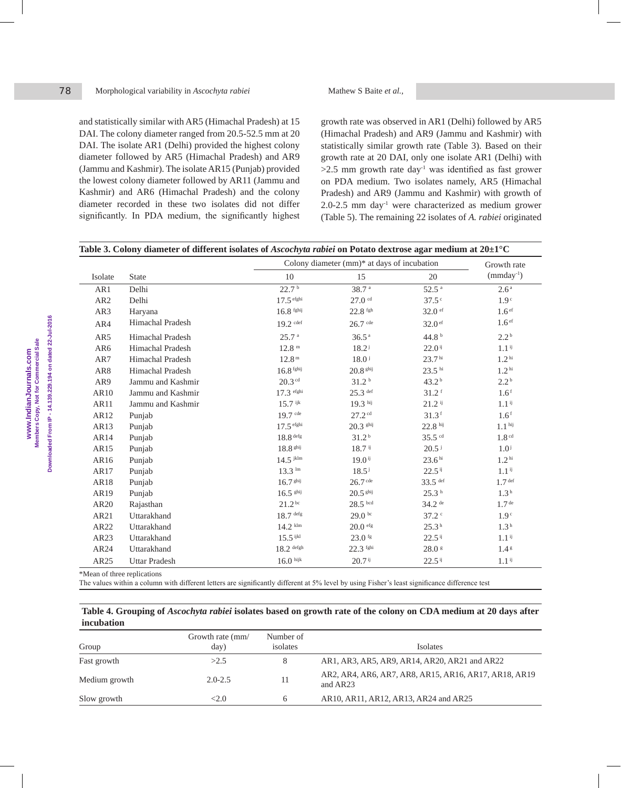and statistically similar with AR5 (Himachal Pradesh) at 15 DAI. The colony diameter ranged from 20.5-52.5 mm at 20 DAI. The isolate AR1 (Delhi) provided the highest colony diameter followed by AR5 (Himachal Pradesh) and AR9 (Jammu and Kashmir). The isolate AR15 (Punjab) provided the lowest colony diameter followed by AR11 (Jammu and Kashmir) and AR6 (Himachal Pradesh) and the colony diameter recorded in these two isolates did not differ significantly. In PDA medium, the significantly highest growth rate was observed in AR1 (Delhi) followed by AR5 (Himachal Pradesh) and AR9 (Jammu and Kashmir) with statistically similar growth rate (Table 3). Based on their growth rate at 20 DAI, only one isolate AR1 (Delhi) with  $>2.5$  mm growth rate day<sup>-1</sup> was identified as fast grower on PDA medium. Two isolates namely, AR5 (Himachal Pradesh) and AR9 (Jammu and Kashmir) with growth of 2.0-2.5 mm day<sup>-1</sup> were characterized as medium grower (Table 5). The remaining 22 isolates of *A. rabiei* originated

|                  |                         |                      | Colony diameter $(nm)^*$ at days of incubation |                      | Growth rate         |
|------------------|-------------------------|----------------------|------------------------------------------------|----------------------|---------------------|
| Isolate          | <b>State</b>            | 10                   | 15                                             | 20                   | $(mmday^{-1})$      |
| AR1              | Delhi                   | 22.7 <sup>b</sup>    | 38.7 <sup>a</sup>                              | 52.5 <sup>a</sup>    | 2.6 <sup>a</sup>    |
| AR <sub>2</sub>  | Delhi                   | $17.5$ efghi         | $27.0$ cd                                      | $37.5^{\circ}$       | 1.9 <sup>c</sup>    |
| AR3              | Haryana                 | $16.8$ fghij         | $22.8$ fgh                                     | $32.0$ ef            | 1.6 <sup>ef</sup>   |
| AR4              | Himachal Pradesh        | $19.2$ cdef          | $26.7$ cde                                     | $32.0$ ef            | 1.6 <sup>ef</sup>   |
| AR5              | Himachal Pradesh        | 25.7 <sup>a</sup>    | 36.5 <sup>a</sup>                              | 44.8 $b$             | 2.2 <sup>b</sup>    |
| AR6              | <b>Himachal Pradesh</b> | 12.8 <sup>m</sup>    | $18.2^{\mathrm{j}}$                            | $22.0$ <sup>ij</sup> | $1.1^{i}$           |
| AR7              | <b>Himachal Pradesh</b> | 12.8 <sup>m</sup>    | $18.0^{\text{ j}}$                             | 23.7 <sup>hi</sup>   | 1.2 <sup>hi</sup>   |
| AR8              | <b>Himachal Pradesh</b> | $16.8$ fghij         | $20.8$ shij                                    | $23.5$ hi            | 1.2 <sup>hi</sup>   |
| AR9              | Jammu and Kashmir       | $20.3$ cd            | 31.2 <sup>b</sup>                              | 43.2 <sup>b</sup>    | 2.2 <sup>b</sup>    |
| AR10             | Jammu and Kashmir       | 17.3 efghi           | $25.3$ def                                     | $31.2$ <sup>f</sup>  | 1.6 <sup>f</sup>    |
| AR11             | Jammu and Kashmir       | $15.7$ ijk           | $19.3$ hij                                     | $21.2$ ij            | $1.1$ <sup>ij</sup> |
| AR12             | Punjab                  | $19.7$ cde           | $27.2$ cd                                      | $31.3$ <sup>f</sup>  | 1.6 <sup>f</sup>    |
| AR13             | Punjab                  | $17.5$ efghi         | $20.3$ ghij                                    | $22.8$ hij           | 1.1 <sup>hij</sup>  |
| AR14             | Punjab                  | $18.8$ defg          | 31.2 <sup>b</sup>                              | $35.5$ cd            | 1.8 <sup>cd</sup>   |
| AR15             | Punjab                  | 18.8 shij            | $18.7$ <sup>ij</sup>                           | $20.5$ <sup>j</sup>  | 1.0 <sup>j</sup>    |
| AR16             | Punjab                  | $14.5$ jklm          | $19.0$ <sup>ij</sup>                           | 23.6 <sup>hi</sup>   | 1.2 <sup>hi</sup>   |
| AR17             | Punjab                  | $13.3 \text{ lm}$    | $18.5^{\rm j}$                                 | $22.5$ <sup>ij</sup> | $1.1$ <sup>ij</sup> |
| AR18             | Punjab                  | 16.7 <sup>ghij</sup> | $26.7$ cde                                     | 33.5 def             | 1.7 <sup>def</sup>  |
| AR19             | Punjab                  | $16.5$ ghij          | $20.5$ ghij                                    | 25.3 <sup>h</sup>    | 1.3 <sup>h</sup>    |
| AR <sub>20</sub> | Rajasthan               | $21.2^{bc}$          | $28.5$ bcd                                     | $34.2$ de            | 1.7 <sup>de</sup>   |
| AR21             | Uttarakhand             | $18.7$ defg          | 29.0 <sup>bc</sup>                             | 37.2                 | 1.9 <sup>c</sup>    |
| AR22             | Uttarakhand             | $14.2$ klm           | $20.0$ efg                                     | 25.3 <sup>h</sup>    | 1.3 <sup>h</sup>    |
| AR23             | Uttarakhand             | $15.5$ ijkl          | $23.0$ fg                                      | $22.5$ <sup>ij</sup> | $1.1$ <sup>ij</sup> |
| AR24             | Uttarakhand             | $18.2$ defgh         | 22.3 fghi                                      | $28.0$ s             | 1.4 <sup>g</sup>    |
| AR25             | <b>Uttar Pradesh</b>    | $16.0$ hijk          | $20.7$ <sup>ij</sup>                           | $22.5$ <sup>ij</sup> | $1.1$ <sup>ij</sup> |

e replications

The values within a column with different letters are significantly different at 5% level by using Fisher's least significance difference test

#### **Table 4. Grouping of** *Ascochyta rabiei* **isolates based on growth rate of the colony on CDA medium at 20 days after incubation**

| Group         | Growth rate (mm/<br>day) | Number of<br>isolates | <b>Isolates</b>                                                   |
|---------------|--------------------------|-----------------------|-------------------------------------------------------------------|
| Fast growth   | >2.5                     |                       | AR1, AR3, AR5, AR9, AR14, AR20, AR21 and AR22                     |
| Medium growth | $2.0 - 2.5$              | 11                    | AR2, AR4, AR6, AR7, AR8, AR15, AR16, AR17, AR18, AR19<br>and AR23 |
| Slow growth   | <2.0                     | 6                     | AR10, AR11, AR12, AR13, AR24 and AR25                             |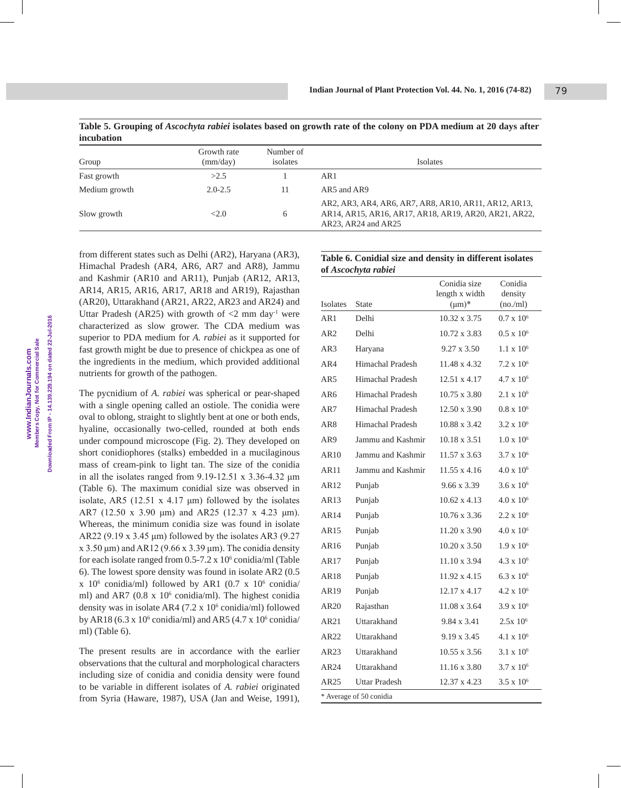**Table 5. Grouping of** *Ascochyta rabiei* **isolates based on growth rate of the colony on PDA medium at 20 days after incubation**

| Group         | Growth rate<br>(mm/day) | Number of<br>isolates | <b>Isolates</b>                                                                                                                       |
|---------------|-------------------------|-----------------------|---------------------------------------------------------------------------------------------------------------------------------------|
| Fast growth   | >2.5                    |                       | AR1                                                                                                                                   |
| Medium growth | $2.0 - 2.5$             | 11                    | AR5 and AR9                                                                                                                           |
| Slow growth   | <2.0                    | <sub>6</sub>          | AR2, AR3, AR4, AR6, AR7, AR8, AR10, AR11, AR12, AR13,<br>AR14, AR15, AR16, AR17, AR18, AR19, AR20, AR21, AR22,<br>AR23, AR24 and AR25 |

from different states such as Delhi (AR2), Haryana (AR3), Himachal Pradesh (AR4, AR6, AR7 and AR8), Jammu and Kashmir (AR10 and AR11), Punjab (AR12, AR13, AR14, AR15, AR16, AR17, AR18 and AR19), Rajasthan (AR20), Uttarakhand (AR21, AR22, AR23 and AR24) and Uttar Pradesh (AR25) with growth of  $\langle 2 \rangle$  mm day<sup>-1</sup> were characterized as slow grower. The CDA medium was superior to PDA medium for *A. rabiei* as it supported for fast growth might be due to presence of chickpea as one of the ingredients in the medium, which provided additional nutrients for growth of the pathogen.

The pycnidium of *A. rabiei* was spherical or pear-shaped with a single opening called an ostiole. The conidia were oval to oblong, straight to slightly bent at one or both ends, hyaline, occasionally two-celled, rounded at both ends under compound microscope (Fig. 2). They developed on short conidiophores (stalks) embedded in a mucilaginous mass of cream-pink to light tan. The size of the conidia in all the isolates ranged from  $9.19 - 12.51 \times 3.36 - 4.32 \mu m$ (Table 6). The maximum conidial size was observed in isolate, AR5 (12.51  $x$  4.17  $\mu$ m) followed by the isolates AR7 (12.50 x 3.90 μm) and AR25 (12.37 x 4.23 μm). Whereas, the minimum conidia size was found in isolate AR22 (9.19 x 3.45  $\mu$ m) followed by the isolates AR3 (9.27 x 3.50  $\mu$ m) and AR12 (9.66 x 3.39  $\mu$ m). The conidia density for each isolate ranged from  $0.5$ -7.2 x  $10<sup>6</sup>$  conidia/ml (Table 6). The lowest spore density was found in isolate AR2 (0.5  $x$  10<sup>6</sup> conidia/ml) followed by AR1 (0.7 x 10<sup>6</sup> conidia/ ml) and AR7 (0.8 x 10<sup>6</sup> conidia/ml). The highest conidia density was in isolate AR4 (7.2 x 10<sup>6</sup> conidia/ml) followed by AR18 (6.3 x  $10^6$  conidia/ml) and AR5 (4.7 x  $10^6$  conidia/ ml) (Table 6).

The present results are in accordance with the earlier observations that the cultural and morphological characters including size of conidia and conidia density were found to be variable in different isolates of *A. rabiei* originated from Syria (Haware, 1987), USA (Jan and Weise, 1991),

## **Table 6. Conidial size and density in different isolates of** *Ascochyta rabiei*

|                  |                         | Conidia size<br>length x width | Conidia<br>density  |
|------------------|-------------------------|--------------------------------|---------------------|
| <b>Isolates</b>  | <b>State</b>            | $(\mu m)^*$                    | (no/ml)             |
| AR1              | Delhi                   | 10.32 x 3.75                   | $0.7 \times 10^6$   |
| AR2              | Delhi                   | $10.72 \times 3.83$            | $0.5 \times 10^6$   |
| AR3              | Haryana                 | $9.27 \times 3.50$             | $1.1 \times 10^6$   |
| AR4              | Himachal Pradesh        | 11.48 x 4.32                   | $7.2 \times 10^6$   |
| AR5              | Himachal Pradesh        | $12.51 \times 4.17$            | $4.7 \times 10^6$   |
| AR6              | Himachal Pradesh        | 10.75 x 3.80                   | $2.1 \times 10^6$   |
| AR7              | Himachal Pradesh        | 12.50 x 3.90                   | $0.8 \times 10^6$   |
| AR <sub>8</sub>  | Himachal Pradesh        | 10.88 x 3.42                   | $3.2 \times 10^6$   |
| AR9              | Jammu and Kashmir       | 10.18 x 3.51                   | $1.0 \times 10^6$   |
| AR10             | Jammu and Kashmir       | $11.57 \times 3.63$            | $3.7 \times 10^6$   |
| AR11             | Jammu and Kashmir       | $11.55 \times 4.16$            | $4.0 \times 10^6$   |
| AR12             | Punjab                  | 9.66 x 3.39                    | $3.6 \times 10^{6}$ |
| AR13             | Punjab                  | $10.62 \times 4.13$            | $4.0 \times 10^6$   |
| AR14             | Punjab                  | $10.76 \times 3.36$            | $2.2 \times 10^6$   |
| AR15             | Punjab                  | 11.20 x 3.90                   | $4.0 \times 10^6$   |
| AR <sub>16</sub> | Punjab                  | $10.20 \times 3.50$            | $1.9 \times 10^{6}$ |
| AR17             | Punjab                  | $11.10 \times 3.94$            | $4.3 \times 10^{6}$ |
| AR18             | Punjab                  | 11.92 x 4.15                   | $6.3 \times 10^{6}$ |
| AR19             | Punjab                  | 12.17 x 4.17                   | $4.2 \times 10^6$   |
| AR20             | Rajasthan               | 11.08 x 3.64                   | $3.9 \times 10^{6}$ |
| AR21             | Uttarakhand             | 9.84 x 3.41                    | $2.5x 10^6$         |
| AR22             | Uttarakhand             | 9.19 x 3.45                    | $4.1 \times 10^6$   |
| AR23             | Uttarakhand             | $10.55 \times 3.56$            | $3.1 \times 10^{6}$ |
| AR24             | Uttarakhand             | $11.16 \times 3.80$            | $3.7 \times 10^{6}$ |
| AR25             | Uttar Pradesh           | 12.37 x 4.23                   | $3.5 \times 10^{6}$ |
|                  | * Average of 50 conidia |                                |                     |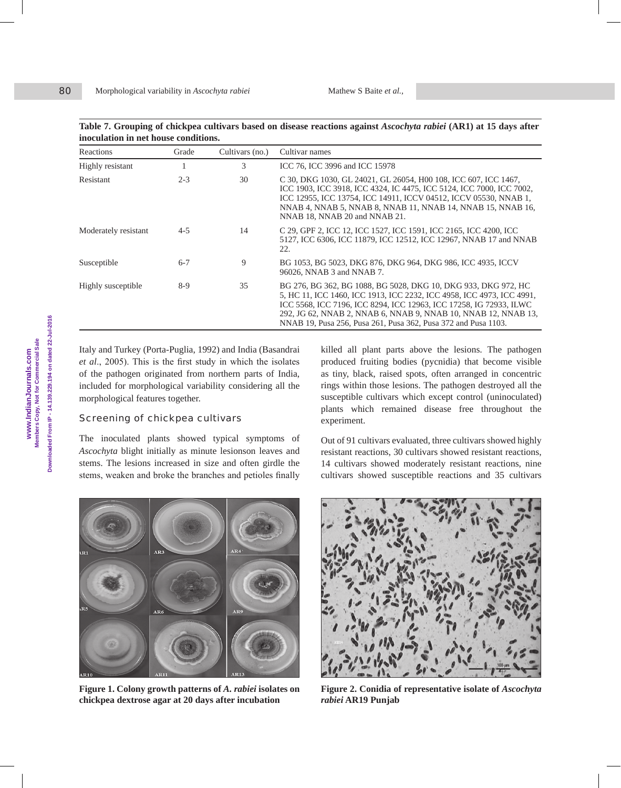**Table 7. Grouping of chickpea cultivars based on disease reactions against** *Ascochyta rabiei* **(AR1) at 15 days after inoculation in net house conditions.**

| Reactions            | Grade   | Cultivars (no.) | Cultivar names                                                                                                                                                                                                                                                                                                                                    |
|----------------------|---------|-----------------|---------------------------------------------------------------------------------------------------------------------------------------------------------------------------------------------------------------------------------------------------------------------------------------------------------------------------------------------------|
| Highly resistant     |         | 3               | ICC 76, ICC 3996 and ICC 15978                                                                                                                                                                                                                                                                                                                    |
| <b>Resistant</b>     | $2 - 3$ | 30              | C 30, DKG 1030, GL 24021, GL 26054, H00 108, ICC 607, ICC 1467,<br>ICC 1903, ICC 3918, ICC 4324, IC 4475, ICC 5124, ICC 7000, ICC 7002,<br>ICC 12955, ICC 13754, ICC 14911, ICCV 04512, ICCV 05530, NNAB 1,<br>NNAB 4, NNAB 5, NNAB 8, NNAB 11, NNAB 14, NNAB 15, NNAB 16,<br>NNAB 18, NNAB 20 and NNAB 21.                                       |
| Moderately resistant | $4 - 5$ | 14              | C 29, GPF 2, ICC 12, ICC 1527, ICC 1591, ICC 2165, ICC 4200, ICC<br>5127, ICC 6306, ICC 11879, ICC 12512, ICC 12967, NNAB 17 and NNAB<br>22.                                                                                                                                                                                                      |
| Susceptible          | $6 - 7$ | 9               | BG 1053, BG 5023, DKG 876, DKG 964, DKG 986, ICC 4935, ICCV<br>96026, NNAB 3 and NNAB 7.                                                                                                                                                                                                                                                          |
| Highly susceptible   | $8-9$   | 35              | BG 276, BG 362, BG 1088, BG 5028, DKG 10, DKG 933, DKG 972, HC<br>5, HC 11, ICC 1460, ICC 1913, ICC 2232, ICC 4958, ICC 4973, ICC 4991,<br>ICC 5568, ICC 7196, ICC 8294, ICC 12963, ICC 17258, IG 72933, ILWC<br>292, JG 62, NNAB 2, NNAB 6, NNAB 9, NNAB 10, NNAB 12, NNAB 13,<br>NNAB 19, Pusa 256, Pusa 261, Pusa 362, Pusa 372 and Pusa 1103. |

Italy and Turkey (Porta-Puglia, 1992) and India (Basandrai *et al*., 2005). This is the first study in which the isolates of the pathogen originated from northern parts of India, included for morphological variability considering all the morphological features together.

#### Screening of chickpea cultivars

The inoculated plants showed typical symptoms of *Ascochyta* blight initially as minute lesionson leaves and stems. The lesions increased in size and often girdle the stems, weaken and broke the branches and petioles finally

killed all plant parts above the lesions. The pathogen produced fruiting bodies (pycnidia) that become visible as tiny, black, raised spots, often arranged in concentric rings within those lesions. The pathogen destroyed all the susceptible cultivars which except control (uninoculated) plants which remained disease free throughout the experiment.

Out of 91 cultivars evaluated, three cultivars showed highly resistant reactions, 30 cultivars showed resistant reactions, 14 cultivars showed moderately resistant reactions, nine cultivars showed susceptible reactions and 35 cultivars



**Figure 1. Colony growth patterns of** *A. rabiei* **isolates on chickpea dextrose agar at 20 days after incubation**



**Figure 2. Conidia of representative isolate of** *Ascochyta rabiei* **AR19 Punjab**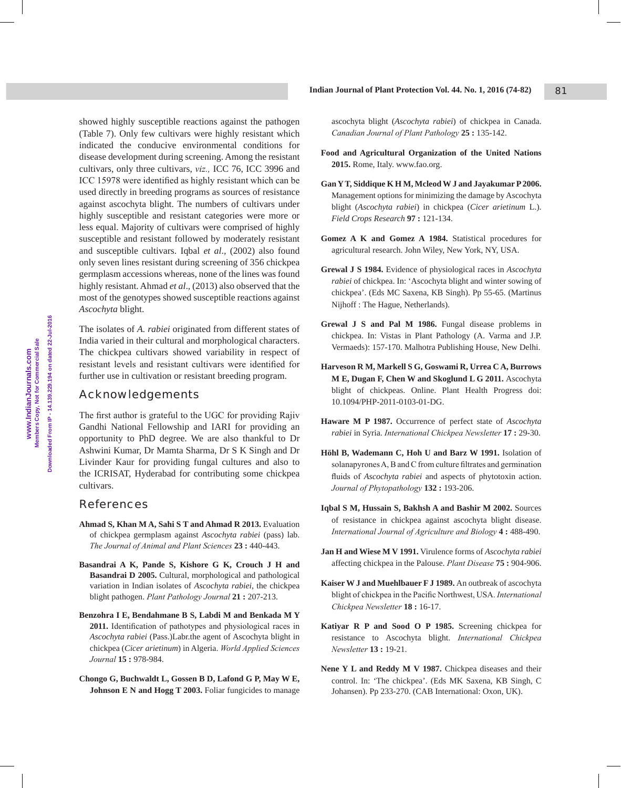showed highly susceptible reactions against the pathogen (Table 7). Only few cultivars were highly resistant which indicated the conducive environmental conditions for disease development during screening. Among the resistant cultivars, only three cultivars, *viz.,* ICC 76, ICC 3996 and ICC 15978 were identified as highly resistant which can be used directly in breeding programs as sources of resistance against ascochyta blight. The numbers of cultivars under highly susceptible and resistant categories were more or less equal. Majority of cultivars were comprised of highly susceptible and resistant followed by moderately resistant and susceptible cultivars. Iqbal *et al*.*,* (2002) also found only seven lines resistant during screening of 356 chickpea germplasm accessions whereas, none of the lines was found highly resistant. Ahmad *et al*.*,* (2013) also observed that the most of the genotypes showed susceptible reactions against *Ascochyta* blight.

The isolates of *A. rabiei* originated from different states of India varied in their cultural and morphological characters. The chickpea cultivars showed variability in respect of resistant levels and resistant cultivars were identified for further use in cultivation or resistant breeding program.

# Acknowledgements

The first author is grateful to the UGC for providing Rajiv Gandhi National Fellowship and IARI for providing an opportunity to PhD degree. We are also thankful to Dr Ashwini Kumar, Dr Mamta Sharma, Dr S K Singh and Dr Livinder Kaur for providing fungal cultures and also to the ICRISAT, Hyderabad for contributing some chickpea cultivars.

# References

- **Ahmad S, Khan M A, Sahi S T and Ahmad R 2013.** Evaluation of chickpea germplasm against *Ascochyta rabiei* (pass) lab. *The Journal of Animal and Plant Sciences* **23 :** 440-443.
- **Basandrai A K, Pande S, Kishore G K, Crouch J H and Basandrai D 2005.** Cultural, morphological and pathological variation in Indian isolates of *Ascochyta rabiei*, the chickpea blight pathogen. *Plant Pathology Journal* **21 :** 207-213.
- **Benzohra I E, Bendahmane B S, Labdi M and Benkada M Y 2011.** Identification of pathotypes and physiological races in *Ascochyta rabiei* (Pass.)Labr.the agent of Ascochyta blight in chickpea (*Cicer arietinum*) in Algeria. *World Applied Sciences Journal* **15 :** 978-984.
- **Chongo G, Buchwaldt L, Gossen B D, Lafond G P, May W E, Johnson E N and Hogg T 2003.** Foliar fungicides to manage

ascochyta blight (*Ascochyta rabiei*) of chickpea in Canada. *Canadian Journal of Plant Pathology* **25 :** 135-142.

- **Food and Agricultural Organization of the United Nations 2015.** Rome, Italy. www.fao.org.
- **Gan Y T, Siddique K H M, Mcleod W J and Jayakumar P 2006.** Management options for minimizing the damage by Ascochyta blight (*Ascochyta rabiei*) in chickpea (*Cicer arietinum* L.). *Field Crops Research* **97 :** 121-134.
- **Gomez A K and Gomez A 1984.** Statistical procedures for agricultural research. John Wiley, New York, NY, USA.
- **Grewal J S 1984.** Evidence of physiological races in *Ascochyta rabiei* of chickpea. In: 'Ascochyta blight and winter sowing of chickpea'. (Eds MC Saxena, KB Singh). Pp 55-65. (Martinus Nijhoff : The Hague, Netherlands).
- **Grewal J S and Pal M 1986.** Fungal disease problems in chickpea. In: Vistas in Plant Pathology (A. Varma and J.P. Vermaeds): 157-170. Malhotra Publishing House, New Delhi.
- **Harveson R M, Markell S G, Goswami R, Urrea C A, Burrows M E, Dugan F, Chen W and Skoglund L G 2011.** Ascochyta blight of chickpeas. Online. Plant Health Progress doi: 10.1094/PHP-2011-0103-01-DG.
- **Haware M P 1987.** Occurrence of perfect state of *Ascochyta rabiei* in Syria. *International Chickpea Newsletter* **17 :** 29-30.
- **Höhl B, Wademann C, Hoh U and Barz W 1991.** Isolation of solanapyrones A, B and C from culture filtrates and germination fluids of *Ascochyta rabiei* and aspects of phytotoxin action. *Journal of Phytopathology* **132 :** 193-206.
- **Iqbal S M, Hussain S, Bakhsh A and Bashir M 2002.** Sources of resistance in chickpea against ascochyta blight disease. *International Journal of Agriculture and Biology* **4 :** 488-490.
- **Jan H and Wiese M V 1991.** Virulence forms of *Ascochyta rabiei* affecting chickpea in the Palouse. *Plant Disease* **75 :** 904-906.
- **Kaiser W J and Muehlbauer F J 1989.** An outbreak of ascochyta blight of chickpea in the Pacific Northwest, USA. *International Chickpea Newsletter* **18 :** 16-17.
- **Katiyar R P and Sood O P 1985.** Screening chickpea for resistance to Ascochyta blight. *International Chickpea Newsletter* **13 :** 19-21.
- **Nene Y L and Reddy M V 1987.** Chickpea diseases and their control. In: 'The chickpea'. (Eds MK Saxena, KB Singh, C Johansen). Pp 233-270. (CAB International: Oxon, UK).